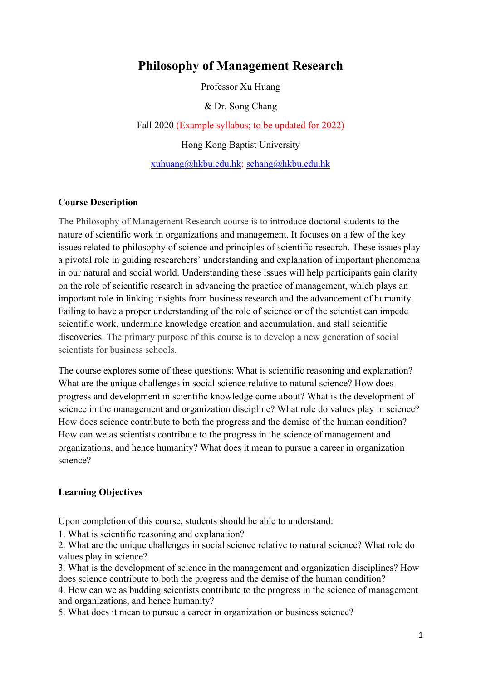# **Philosophy of Management Research**

Professor Xu Huang

& Dr. Song Chang

Fall 2020 (Example syllabus; to be updated for 2022) Hong Kong Baptist University xuhuang@hkbu.edu.hk; schang@hkbu.edu.hk

# **Course Description**

The Philosophy of Management Research course is to introduce doctoral students to the nature of scientific work in organizations and management. It focuses on a few of the key issues related to philosophy of science and principles of scientific research. These issues play a pivotal role in guiding researchers' understanding and explanation of important phenomena in our natural and social world. Understanding these issues will help participants gain clarity on the role of scientific research in advancing the practice of management, which plays an important role in linking insights from business research and the advancement of humanity. Failing to have a proper understanding of the role of science or of the scientist can impede scientific work, undermine knowledge creation and accumulation, and stall scientific discoveries. The primary purpose of this course is to develop a new generation of social scientists for business schools.

The course explores some of these questions: What is scientific reasoning and explanation? What are the unique challenges in social science relative to natural science? How does progress and development in scientific knowledge come about? What is the development of science in the management and organization discipline? What role do values play in science? How does science contribute to both the progress and the demise of the human condition? How can we as scientists contribute to the progress in the science of management and organizations, and hence humanity? What does it mean to pursue a career in organization science?

#### **Learning Objectives**

Upon completion of this course, students should be able to understand:

1. What is scientific reasoning and explanation?

2. What are the unique challenges in social science relative to natural science? What role do values play in science?

3. What is the development of science in the management and organization disciplines? How does science contribute to both the progress and the demise of the human condition?

4. How can we as budding scientists contribute to the progress in the science of management and organizations, and hence humanity?

5. What does it mean to pursue a career in organization or business science?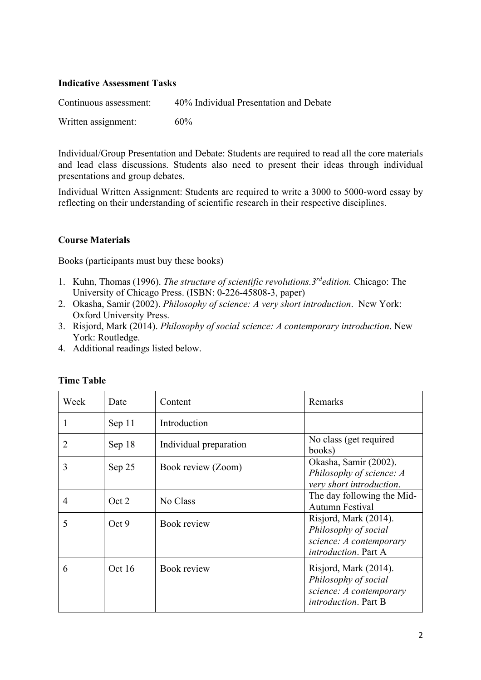# **Indicative Assessment Tasks**

| Continuous assessment: | 40% Individual Presentation and Debate |
|------------------------|----------------------------------------|
| Written assignment:    | 60%                                    |

Individual/Group Presentation and Debate: Students are required to read all the core materials and lead class discussions. Students also need to present their ideas through individual presentations and group debates.

Individual Written Assignment: Students are required to write a 3000 to 5000-word essay by reflecting on their understanding of scientific research in their respective disciplines.

# **Course Materials**

Books (participants must buy these books)

- 1. Kuhn, Thomas (1996). *The structure of scientific revolutions.3rdedition.* Chicago: The University of Chicago Press. (ISBN: 0-226-45808-3, paper)
- 2. Okasha, Samir (2002). *Philosophy of science: A very short introduction*. New York: Oxford University Press.
- 3. Risjord, Mark (2014). *Philosophy of social science: A contemporary introduction*. New York: Routledge.
- 4. Additional readings listed below.

| Week           | Date   | Content                | Remarks                                                                                                  |
|----------------|--------|------------------------|----------------------------------------------------------------------------------------------------------|
| 1              | Sep 11 | Introduction           |                                                                                                          |
| $\overline{2}$ | Sep 18 | Individual preparation | No class (get required<br>books)                                                                         |
| 3              | Sep 25 | Book review (Zoom)     | Okasha, Samir (2002).<br>Philosophy of science: A<br>very short introduction.                            |
| 4              | Oct 2  | No Class               | The day following the Mid-<br><b>Autumn Festival</b>                                                     |
| 5              | Oct 9  | Book review            | Risjord, Mark (2014).<br>Philosophy of social<br>science: A contemporary<br><i>introduction</i> . Part A |
| 6              | Oct 16 | Book review            | Risjord, Mark (2014).<br>Philosophy of social<br>science: A contemporary<br>introduction. Part B         |

### **Time Table**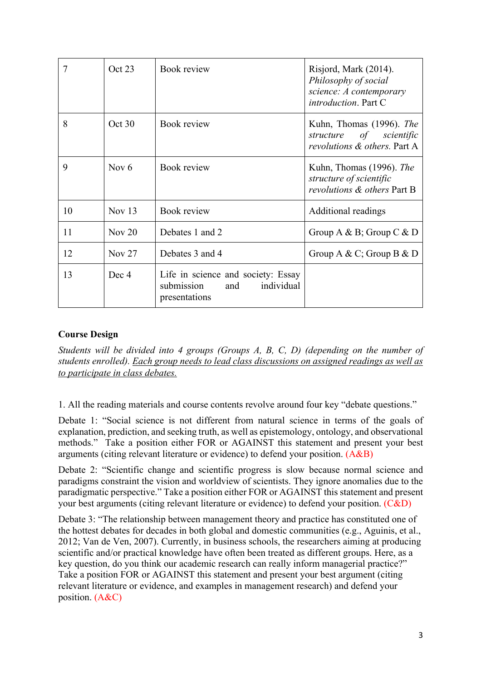|    | Oct 23   | Book review                                                                         | Risjord, Mark (2014).<br>Philosophy of social<br>science: A contemporary<br><i>introduction</i> . Part C |
|----|----------|-------------------------------------------------------------------------------------|----------------------------------------------------------------------------------------------------------|
| 8  | Oct 30   | Book review                                                                         | Kuhn, Thomas (1996). The<br>structure of scientific<br>revolutions & others. Part A                      |
| 9  | Nov $6$  | Book review                                                                         | Kuhn, Thomas (1996). The<br>structure of scientific<br>revolutions & others Part B                       |
| 10 | Nov $13$ | Book review                                                                         | Additional readings                                                                                      |
| 11 | Nov $20$ | Debates 1 and 2                                                                     | Group A & B; Group C & D                                                                                 |
| 12 | Nov $27$ | Debates 3 and 4                                                                     | Group A & C; Group B & D                                                                                 |
| 13 | Dec 4    | Life in science and society: Essay<br>and individual<br>submission<br>presentations |                                                                                                          |

# **Course Design**

*Students will be divided into 4 groups (Groups A, B, C, D) (depending on the number of students enrolled). Each group needs to lead class discussions on assigned readings as well as to participate in class debates.* 

1. All the reading materials and course contents revolve around four key "debate questions."

Debate 1: "Social science is not different from natural science in terms of the goals of explanation, prediction, and seeking truth, as well as epistemology, ontology, and observational methods." Take a position either FOR or AGAINST this statement and present your best arguments (citing relevant literature or evidence) to defend your position. (A&B)

Debate 2: "Scientific change and scientific progress is slow because normal science and paradigms constraint the vision and worldview of scientists. They ignore anomalies due to the paradigmatic perspective." Take a position either FOR or AGAINST this statement and present your best arguments (citing relevant literature or evidence) to defend your position. (C&D)

Debate 3: "The relationship between management theory and practice has constituted one of the hottest debates for decades in both global and domestic communities (e.g., Aguinis, et al., 2012; Van de Ven, 2007). Currently, in business schools, the researchers aiming at producing scientific and/or practical knowledge have often been treated as different groups. Here, as a key question, do you think our academic research can really inform managerial practice?" Take a position FOR or AGAINST this statement and present your best argument (citing relevant literature or evidence, and examples in management research) and defend your position. (A&C)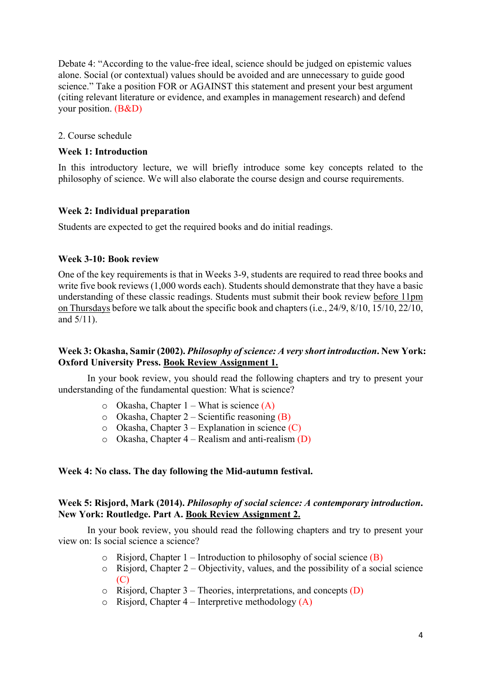Debate 4: "According to the value-free ideal, science should be judged on epistemic values alone. Social (or contextual) values should be avoided and are unnecessary to guide good science." Take a position FOR or AGAINST this statement and present your best argument (citing relevant literature or evidence, and examples in management research) and defend your position. (B&D)

#### 2. Course schedule

#### **Week 1: Introduction**

In this introductory lecture, we will briefly introduce some key concepts related to the philosophy of science. We will also elaborate the course design and course requirements.

#### **Week 2: Individual preparation**

Students are expected to get the required books and do initial readings.

#### **Week 3-10: Book review**

One of the key requirements is that in Weeks 3-9, students are required to read three books and write five book reviews (1,000 words each). Students should demonstrate that they have a basic understanding of these classic readings. Students must submit their book review before 11pm on Thursdays before we talk about the specific book and chapters (i.e., 24/9, 8/10, 15/10, 22/10, and 5/11).

### **Week 3: Okasha, Samir (2002).** *Philosophy of science: A very short introduction***. New York: Oxford University Press. Book Review Assignment 1.**

In your book review, you should read the following chapters and try to present your understanding of the fundamental question: What is science?

- $\circ$  Okasha, Chapter 1 What is science (A)
- $\circ$  Okasha, Chapter 2 Scientific reasoning (B)
- $\circ$  Okasha, Chapter 3 Explanation in science (C)
- $\circ$  Okasha, Chapter 4 Realism and anti-realism (D)

#### **Week 4: No class. The day following the Mid-autumn festival.**

#### **Week 5: Risjord, Mark (2014).** *Philosophy of social science: A contemporary introduction***. New York: Routledge. Part A. Book Review Assignment 2.**

In your book review, you should read the following chapters and try to present your view on: Is social science a science?

- $\circ$  Risjord, Chapter 1 Introduction to philosophy of social science (B)
- $\circ$  Risjord, Chapter 2 Objectivity, values, and the possibility of a social science  $(C)$
- $\circ$  Risjord, Chapter 3 Theories, interpretations, and concepts (D)
- $\circ$  Risjord, Chapter 4 Interpretive methodology (A)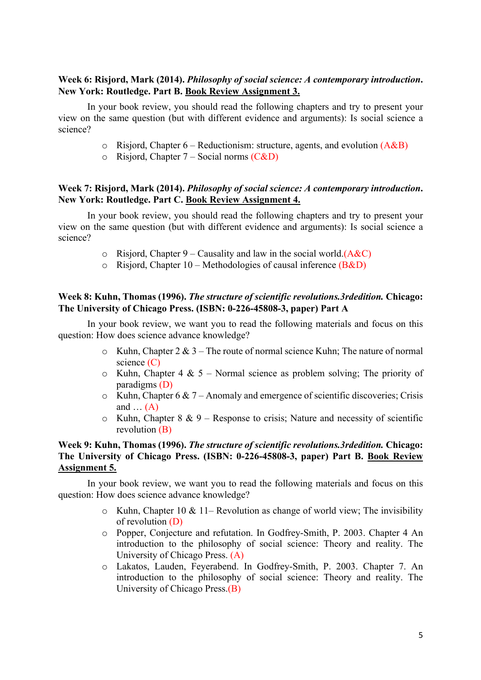# **Week 6: Risjord, Mark (2014).** *Philosophy of social science: A contemporary introduction***. New York: Routledge. Part B. Book Review Assignment 3.**

In your book review, you should read the following chapters and try to present your view on the same question (but with different evidence and arguments): Is social science a science?

- $\circ$  Risjord, Chapter 6 Reductionism: structure, agents, and evolution (A&B)
- $\circ$  Risjord, Chapter 7 Social norms (C&D)

# **Week 7: Risjord, Mark (2014).** *Philosophy of social science: A contemporary introduction***. New York: Routledge. Part C. Book Review Assignment 4.**

In your book review, you should read the following chapters and try to present your view on the same question (but with different evidence and arguments): Is social science a science?

- $\circ$  Risjord, Chapter 9 Causality and law in the social world.(A&C)
- $\circ$  Risjord, Chapter 10 Methodologies of causal inference (B&D)

### **Week 8: Kuhn, Thomas (1996).** *The structure of scientific revolutions.3rdedition.* **Chicago: The University of Chicago Press. (ISBN: 0-226-45808-3, paper) Part A**

In your book review, we want you to read the following materials and focus on this question: How does science advance knowledge?

- $\circ$  Kuhn, Chapter 2 & 3 The route of normal science Kuhn; The nature of normal science (C)
- $\circ$  Kuhn, Chapter 4 & 5 Normal science as problem solving; The priority of paradigms (D)
- $\circ$  Kuhn, Chapter 6 & 7 Anomaly and emergence of scientific discoveries; Crisis and  $\dots$  (A)
- $\circ$  Kuhn, Chapter 8 & 9 Response to crisis; Nature and necessity of scientific revolution (B)

# **Week 9: Kuhn, Thomas (1996).** *The structure of scientific revolutions.3rdedition.* **Chicago: The University of Chicago Press. (ISBN: 0-226-45808-3, paper) Part B. Book Review Assignment 5.**

In your book review, we want you to read the following materials and focus on this question: How does science advance knowledge?

- $\circ$  Kuhn, Chapter 10 & 11– Revolution as change of world view; The invisibility of revolution (D)
- o Popper, Conjecture and refutation. In Godfrey-Smith, P. 2003. Chapter 4 An introduction to the philosophy of social science: Theory and reality. The University of Chicago Press. (A)
- o Lakatos, Lauden, Feyerabend. In Godfrey-Smith, P. 2003. Chapter 7. An introduction to the philosophy of social science: Theory and reality. The University of Chicago Press.(B)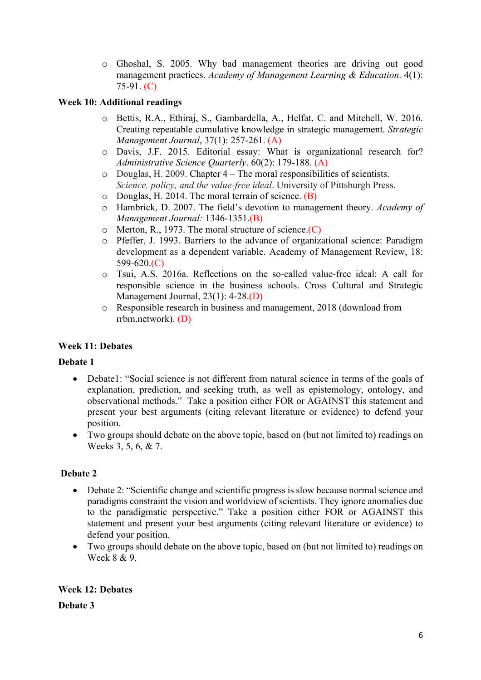o Ghoshal, S. 2005. Why bad management theories are driving out good management practices. *Academy of Management Learning & Education*. 4(1): 75-91. (C)

# **Week 10: Additional readings**

- o Bettis, R.A., Ethiraj, S., Gambardella, A., Helfat, C. and Mitchell, W. 2016. Creating repeatable cumulative knowledge in strategic management. *Strategic Management Journal*, 37(1): 257-261. (A)
- o Davis, J.F. 2015. Editorial essay: What is organizational research for? *Administrative Science Quarterly*. 60(2): 179-188. (A)
- o Douglas, H. 2009. Chapter 4 The moral responsibilities of scientists. *Science, policy, and the value-free ideal*. University of Pittsburgh Press.
- $\circ$  Douglas, H. 2014. The moral terrain of science. (B)
- o Hambrick, D. 2007. The field's devotion to management theory. *Academy of Management Journal:* 1346-1351.(B)
- $\circ$  Merton, R., 1973. The moral structure of science. $(C)$
- o Pfeffer, J. 1993. Barriers to the advance of organizational science: Paradigm development as a dependent variable. Academy of Management Review, 18: 599-620.(C)
- o Tsui, A.S. 2016a. Reflections on the so-called value-free ideal: A call for responsible science in the business schools. Cross Cultural and Strategic Management Journal, 23(1): 4-28.(D)
- o Responsible research in business and management, 2018 (download from rrbm.network). (D)

# **Week 11: Debates**

### **Debate 1**

- Debate1: "Social science is not different from natural science in terms of the goals of explanation, prediction, and seeking truth, as well as epistemology, ontology, and observational methods." Take a position either FOR or AGAINST this statement and present your best arguments (citing relevant literature or evidence) to defend your position.
- Two groups should debate on the above topic, based on (but not limited to) readings on Weeks 3, 5, 6, & 7.

# **Debate 2**

- Debate 2: "Scientific change and scientific progress is slow because normal science and paradigms constraint the vision and worldview of scientists. They ignore anomalies due to the paradigmatic perspective." Take a position either FOR or AGAINST this statement and present your best arguments (citing relevant literature or evidence) to defend your position.
- Two groups should debate on the above topic, based on (but not limited to) readings on Week 8 & 9.

### **Week 12: Debates**

**Debate 3**